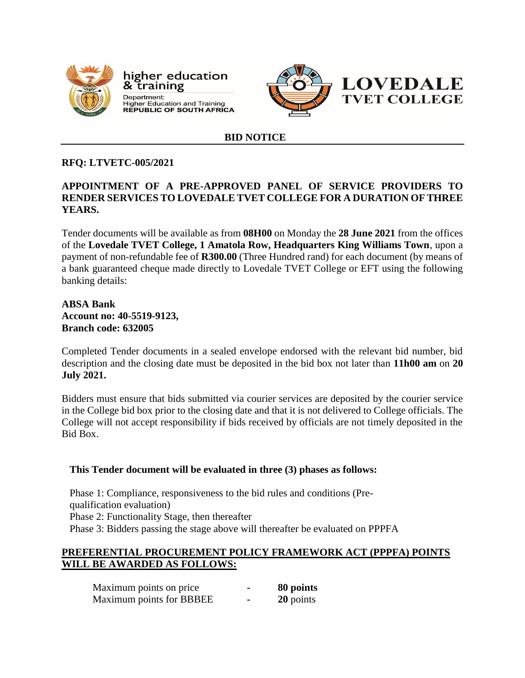

higher education & training Department: **Department.**<br>Higher Education and Training<br>REPUBLIC OF SOUTH AFRICA



### **BID NOTICE**

# **RFQ: LTVETC-005/2021**

# **APPOINTMENT OF A PRE-APPROVED PANEL OF SERVICE PROVIDERS TO RENDER SERVICES TO LOVEDALE TVET COLLEGE FOR A DURATION OF THREE YEARS.**

Tender documents will be available as from **08H00** on Monday the **28 June 2021** from the offices of the **Lovedale TVET College, 1 Amatola Row, Headquarters King Williams Town**, upon a payment of non-refundable fee of **R300.00** (Three Hundred rand) for each document (by means of a bank guaranteed cheque made directly to Lovedale TVET College or EFT using the following banking details:

## **ABSA Bank Account no: 40-5519-9123, Branch code: 632005**

Completed Tender documents in a sealed envelope endorsed with the relevant bid number, bid description and the closing date must be deposited in the bid box not later than **11h00 am** on **20 July 2021.**

Bidders must ensure that bids submitted via courier services are deposited by the courier service in the College bid box prior to the closing date and that it is not delivered to College officials. The College will not accept responsibility if bids received by officials are not timely deposited in the Bid Box.

## **This Tender document will be evaluated in three (3) phases as follows:**

Phase 1: Compliance, responsiveness to the bid rules and conditions (Prequalification evaluation) Phase 2: Functionality Stage, then thereafter Phase 3: Bidders passing the stage above will thereafter be evaluated on PPPFA

### **PREFERENTIAL PROCUREMENT POLICY FRAMEWORK ACT (PPPFA) POINTS WILL BE AWARDED AS FOLLOWS:**

| Maximum points on price  | 80 points |
|--------------------------|-----------|
| Maximum points for BBBEE | 20 points |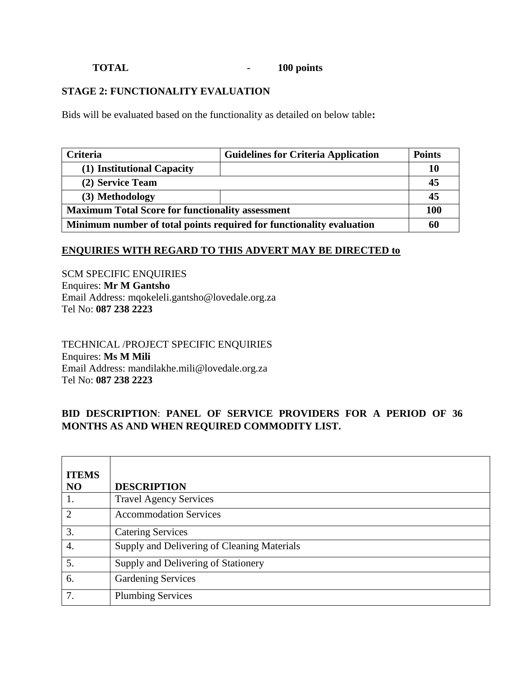# **TOTAL - 100 points**

# **STAGE 2: FUNCTIONALITY EVALUATION**

Bids will be evaluated based on the functionality as detailed on below table**:**

| <b>Criteria</b>                                                      | <b>Guidelines for Criteria Application</b> | <b>Points</b> |
|----------------------------------------------------------------------|--------------------------------------------|---------------|
| (1) Institutional Capacity                                           |                                            | 10            |
| (2) Service Team                                                     |                                            | 45            |
| (3) Methodology                                                      |                                            | 45            |
| <b>Maximum Total Score for functionality assessment</b>              |                                            | 100           |
| Minimum number of total points required for functionality evaluation |                                            | 60            |

## **ENQUIRIES WITH REGARD TO THIS ADVERT MAY BE DIRECTED to**

SCM SPECIFIC ENQUIRIES Enquires: **Mr M Gantsho** Email Address: mqokeleli.gantsho@lovedale.org.za Tel No: **087 238 2223**

TECHNICAL /PROJECT SPECIFIC ENQUIRIES Enquires: **Ms M Mili** Email Address: mandilakhe.mili@lovedale.org.za Tel No: **087 238 2223**

# **BID DESCRIPTION**: **PANEL OF SERVICE PROVIDERS FOR A PERIOD OF 36 MONTHS AS AND WHEN REQUIRED COMMODITY LIST.**

| <b>ITEMS</b>   |                                             |
|----------------|---------------------------------------------|
| N <sub>O</sub> | <b>DESCRIPTION</b>                          |
| 1.             | <b>Travel Agency Services</b>               |
| $\overline{2}$ | <b>Accommodation Services</b>               |
| 3.             | <b>Catering Services</b>                    |
| 4.             | Supply and Delivering of Cleaning Materials |
| 5.             | Supply and Delivering of Stationery         |
| 6.             | <b>Gardening Services</b>                   |
| 7.             | <b>Plumbing Services</b>                    |